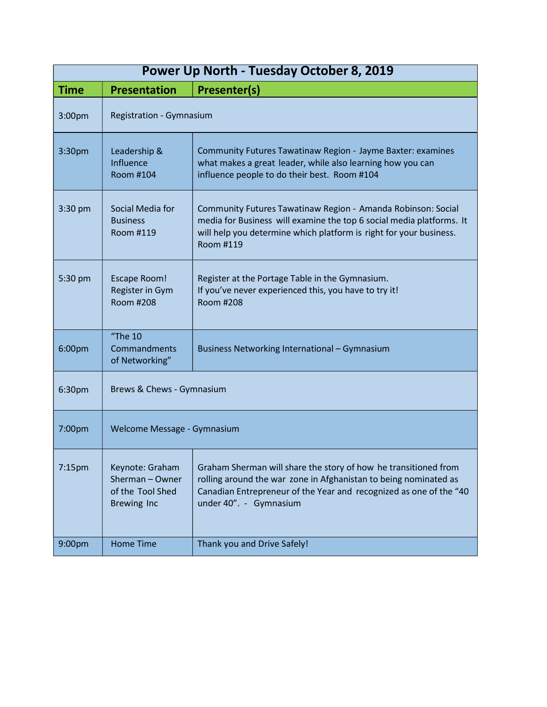| Power Up North - Tuesday October 8, 2019 |                                                                            |                                                                                                                                                                                                                                     |  |  |  |
|------------------------------------------|----------------------------------------------------------------------------|-------------------------------------------------------------------------------------------------------------------------------------------------------------------------------------------------------------------------------------|--|--|--|
| <b>Time</b>                              | <b>Presentation</b>                                                        | <b>Presenter(s)</b>                                                                                                                                                                                                                 |  |  |  |
| 3:00pm                                   | <b>Registration - Gymnasium</b>                                            |                                                                                                                                                                                                                                     |  |  |  |
| 3:30pm                                   | Leadership &<br>Influence<br>Room #104                                     | Community Futures Tawatinaw Region - Jayme Baxter: examines<br>what makes a great leader, while also learning how you can<br>influence people to do their best. Room #104                                                           |  |  |  |
| 3:30 pm                                  | Social Media for<br><b>Business</b><br>Room #119                           | Community Futures Tawatinaw Region - Amanda Robinson: Social<br>media for Business will examine the top 6 social media platforms. It<br>will help you determine which platform is right for your business.<br>Room #119             |  |  |  |
| 5:30 pm                                  | <b>Escape Room!</b><br>Register in Gym<br><b>Room #208</b>                 | Register at the Portage Table in the Gymnasium.<br>If you've never experienced this, you have to try it!<br><b>Room #208</b>                                                                                                        |  |  |  |
| 6:00pm                                   | $H$ The 10<br>Commandments<br>of Networking"                               | Business Networking International - Gymnasium                                                                                                                                                                                       |  |  |  |
| 6:30pm                                   | Brews & Chews - Gymnasium                                                  |                                                                                                                                                                                                                                     |  |  |  |
| 7:00pm                                   | Welcome Message - Gymnasium                                                |                                                                                                                                                                                                                                     |  |  |  |
| 7:15pm                                   | Keynote: Graham<br>Sherman-Owner<br>of the Tool Shed<br><b>Brewing Inc</b> | Graham Sherman will share the story of how he transitioned from<br>rolling around the war zone in Afghanistan to being nominated as<br>Canadian Entrepreneur of the Year and recognized as one of the "40<br>under 40". - Gymnasium |  |  |  |
| 9:00pm                                   | <b>Home Time</b>                                                           | Thank you and Drive Safely!                                                                                                                                                                                                         |  |  |  |